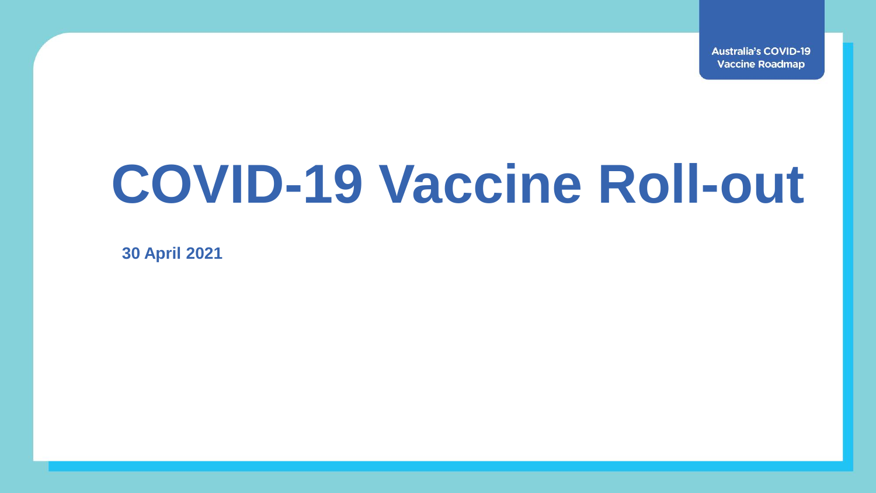**Australia's COVID-19 Vaccine Roadmap** 

## **COVID-19 Vaccine Roll-out**

**30 April 2021**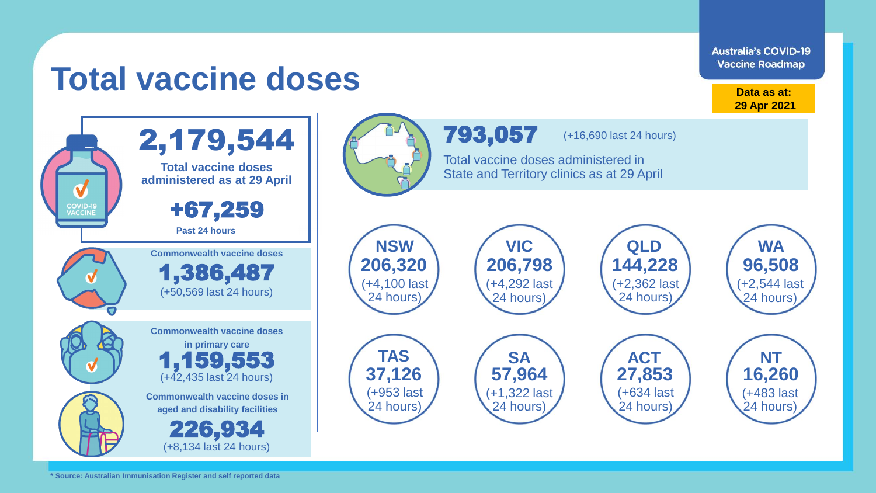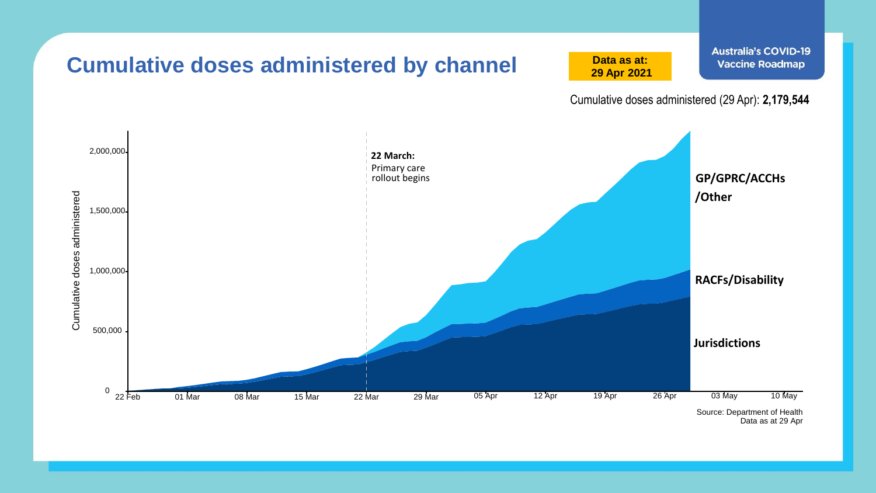

Data as at 29 Apr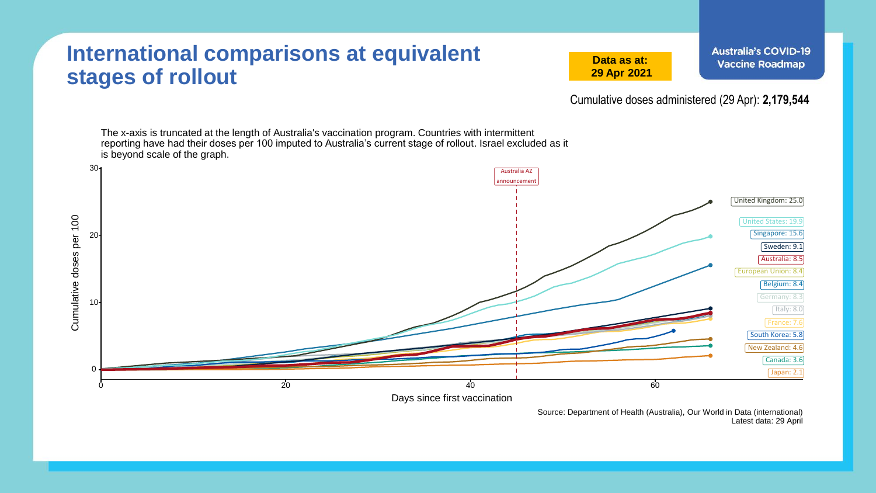## **International comparisons at equivalent stages of rollout**

**Data as at: 29 Apr 2021**

Cumulative doses administered (29 Apr): **2,179,544**



Source: Department of Health (Australia), Our World in Data (international) Latest data: 29 April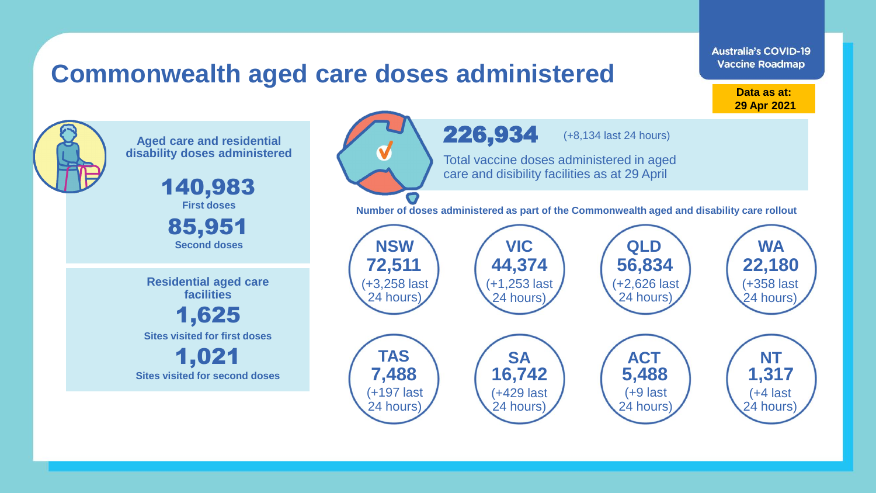## **Commonwealth aged care doses administered**

**Data as at: 29 Apr 2021**